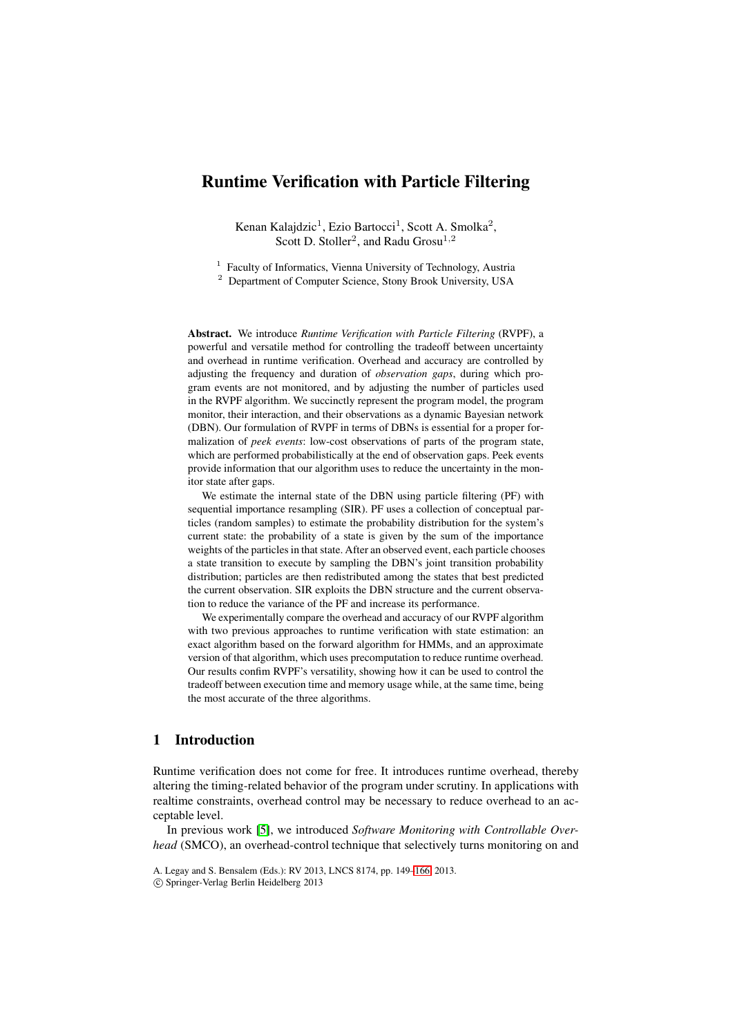# **Runtime Verification with Particle Filtering**

Kenan Kalajdzic<sup>1</sup>, Ezio Bartocci<sup>1</sup>, Scott A. Smolka<sup>2</sup>, Scott D. Stoller<sup>2</sup>, and Radu Grosu<sup>1,2</sup>

<sup>1</sup> Faculty of Informatics, Vienna University of Technology, Austria <sup>2</sup> Department of Computer Science, Stony Brook University, USA

**Abstract.** We introduce *Runtime Verification with Particle Filtering* (RVPF), a powerful and versatile method for controlling the tradeoff between uncertainty and overhead in runtime verification. Overhead and accuracy are controlled by adjusting the frequency and duration of *observation gaps*, during which program events are not monitored, and by adjusting the number of particles used in the RVPF algorithm. We succinctly represent the program model, the program monitor, their interaction, and their observations as a dynamic Bayesian network (DBN). Our formulation of RVPF in terms of DBNs is essential for a proper formalization of *peek events*: low-cost observations of parts of the program state, which are performed probabilistically at the end of observation gaps. Peek events provide information that our algorithm uses to reduce the uncertainty in the monitor state after gaps.

We estimate the internal state of the DBN using particle filtering (PF) with sequential importance resampling (SIR). PF uses a collection of conceptual particles (random samples) to estimate the probability distribution for the system's current state: the probability of a state is given by the sum of the importance weights of the particles in that state. After an observed event, each particle chooses a state transition to execute by sampling the DBN's joint transition probability distribution; particles are then redistributed among the states that best predicted the current observation. SIR exploits the DBN structure and the current observation to reduce the variance of the PF and increase its performance.

We experimentally compare the overhead and accuracy of our RVPF algorithm with two previous approaches to runtime verification with state estimation: an exact algorithm based on the forward algorithm for HMMs, and an approximate version of that algorithm, which uses precomputation to reduce runtime overhead. Our results confim RVPF's versatility, showing how it can be used to control the tradeoff between execution time and memory usage while, at the same time, being the most accurate of the three algorithms.

## <span id="page-0-0"></span>**1 Introduction**

Runtime verification does not come for free. It introduces runtime overhead, thereby altering the timing-related behavior of the program under scrutiny. In applications with realtime constraints, overhead control may be necessary to reduce overhead to an acceptable level.

In previous work [\[5\]](#page-17-0), we introduced *Software Monitoring with Controllable Overhead* (SMCO), an overhead-control technique that selectively turns monitoring on and

A. Legay and S. Bensalem (Eds.): RV 2013, LNCS 8174, pp. 149[–166,](#page-17-1) 2013.

<sup>-</sup>c Springer-Verlag Berlin Heidelberg 2013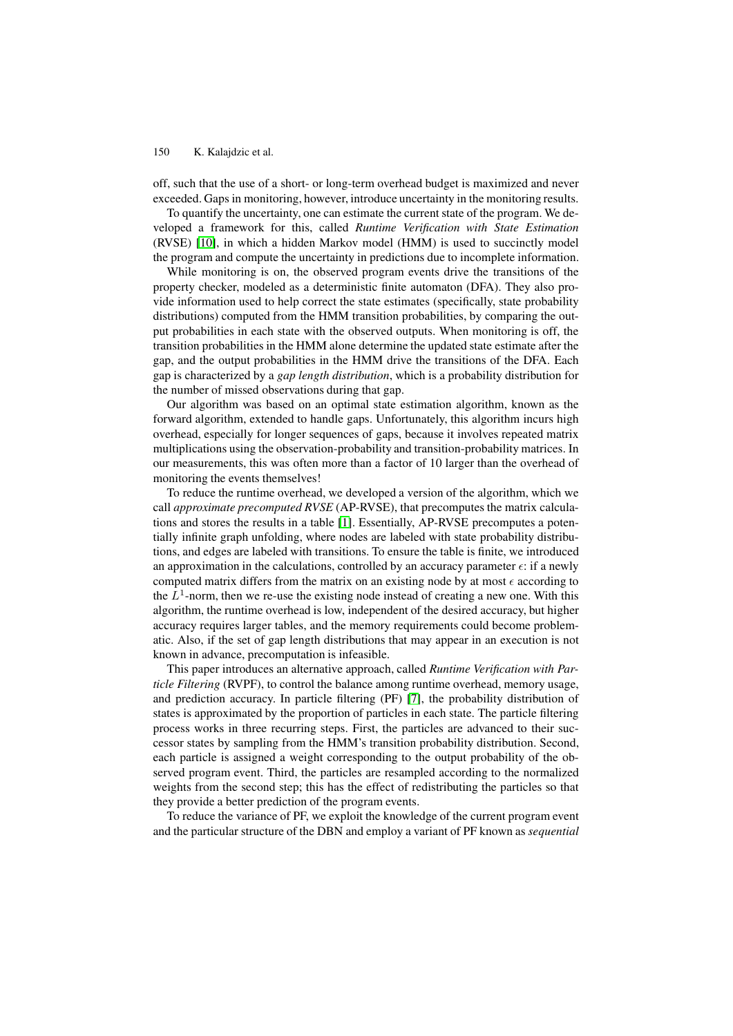off, such that the use of a short- or long-term overhead budget is maximized and never exceeded. Gaps in monitoring, however, introduce uncertainty in the monitoring results.

To quantify the uncertainty, one can estimate the current state of the program. We developed a framework for this, called *Runtime Verification with State Estimation* (RVSE) [\[10\]](#page-17-2), in which a hidden Markov model (HMM) is used to succinctly model the program and compute the uncertainty in predictions due to incomplete information.

While monitoring is on, the observed program events drive the transitions of the property checker, modeled as a deterministic finite automaton (DFA). They also provide information used to help correct the state estimates (specifically, state probability distributions) computed from the HMM transition probabilities, by comparing the output probabilities in each state with the observed outputs. When monitoring is off, the transition probabilities in the HMM alone determine the updated state estimate after the gap, and the output probabilities in the HMM drive the transitions of the DFA. Each gap is characterized by a *gap length distribution*, which is a probability distribution for the number of missed observations during that gap.

Our algorithm was based on an optimal state estimation algorithm, known as the forward algorithm, extended to handle gaps. Unfortunately, this algorithm incurs high overhead, especially for longer sequences of gaps, because it involves repeated matrix multiplications using the observation-probability and transition-probability matrices. In our measurements, this was often more than a factor of 10 larger than the overhead of monitoring the events themselves!

To reduce the runtime overhead, we developed a version of the algorithm, which we call *approximate precomputed RVSE* (AP-RVSE), that precomputes the matrix calculations and stores the results in a table [\[1\]](#page-17-3). Essentially, AP-RVSE precomputes a potentially infinite graph unfolding, where nodes are labeled with state probability distributions, and edges are labeled with transitions. To ensure the table is finite, we introduced an approximation in the calculations, controlled by an accuracy parameter  $\epsilon$ : if a newly computed matrix differs from the matrix on an existing node by at most  $\epsilon$  according to the  $L<sup>1</sup>$ -norm, then we re-use the existing node instead of creating a new one. With this algorithm, the runtime overhead is low, independent of the desired accuracy, but higher accuracy requires larger tables, and the memory requirements could become problematic. Also, if the set of gap length distributions that may appear in an execution is not known in advance, precomputation is infeasible.

This paper introduces an alternative approach, called *Runtime Verification with Particle Filtering* (RVPF), to control the balance among runtime overhead, memory usage, and prediction accuracy. In particle filtering (PF) [\[7\]](#page-17-4), the probability distribution of states is approximated by the proportion of particles in each state. The particle filtering process works in three recurring steps. First, the particles are advanced to their successor states by sampling from the HMM's transition probability distribution. Second, each particle is assigned a weight corresponding to the output probability of the observed program event. Third, the particles are resampled according to the normalized weights from the second step; this has the effect of redistributing the particles so that they provide a better prediction of the program events.

To reduce the variance of PF, we exploit the knowledge of the current program event and the particular structure of the DBN and employ a variant of PF known as *sequential*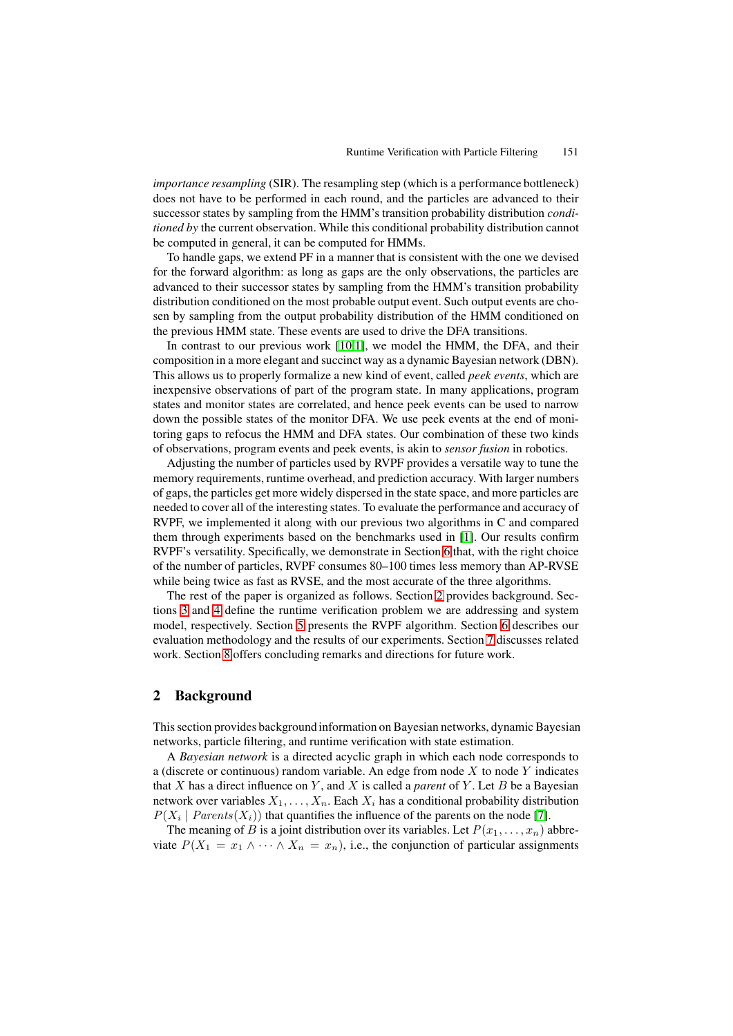*importance resampling* (SIR). The resampling step (which is a performance bottleneck) does not have to be performed in each round, and the particles are advanced to their successor states by sampling from the HMM's transition probability distribution *conditioned by* the current observation. While this conditional probability distribution cannot be computed in general, it can be computed for HMMs.

To handle gaps, we extend PF in a manner that is consistent with the one we devised for the forward algorithm: as long as gaps are the only observations, the particles are advanced to their successor states by sampling from the HMM's transition probability distribution conditioned on the most probable output event. Such output events are chosen by sampling from the output probability distribution of the HMM conditioned on the previous HMM state. These events are used to drive the DFA transitions.

In contrast to our previous work [\[10,](#page-17-2)[1\]](#page-17-3), we model the HMM, the DFA, and their composition in a more elegant and succinct way as a dynamic Bayesian network (DBN). This allows us to properly formalize a new kind of event, called *peek events*, which are inexpensive observations of part of the program state. In many applications, program states and monitor states are correlated, and hence peek events can be used to narrow down the possible states of the monitor DFA. We use peek events at the end of monitoring gaps to refocus the HMM and DFA states. Our combination of these two kinds of observations, program events and peek events, is akin to *sensor fusion* in robotics.

Adjusting the number of particles used by RVPF provides a versatile way to tune the memory requirements, runtime overhead, and prediction accuracy. With larger numbers of gaps, the particles get more widely dispersed in the state space, and more particles are needed to cover all of the interesting states. To evaluate the performance and accuracy of RVPF, we implemented it along with our previous two algorithms in C and compared them through experiments based on the benchmarks used in [\[1\]](#page-17-3). Our results confirm RVPF's versatility. Specifically, we demonstrate in Section [6](#page-11-0) that, with the right choice of the number of particles, RVPF consumes 80–100 times less memory than AP-RVSE while being twice as fast as RVSE, and the most accurate of the three algorithms.

The rest of the paper is organized as follows. Section [2](#page-2-0) provides background. Sections [3](#page-4-0) and [4](#page-4-1) define the runtime verification problem we are addressing and system model, respectively. Section [5](#page-7-0) presents the RVPF algorithm. Section [6](#page-11-0) describes our evaluation methodology and the results of our experiments. Section [7](#page-15-0) discusses related work. Section [8](#page-17-5) offers concluding remarks and directions for future work.

## <span id="page-2-0"></span>**2 Background**

This section provides background information on Bayesian networks, dynamic Bayesian networks, particle filtering, and runtime verification with state estimation.

A *Bayesian network* is a directed acyclic graph in which each node corresponds to a (discrete or continuous) random variable. An edge from node  $X$  to node  $Y$  indicates that  $X$  has a direct influence on  $Y$ , and  $X$  is called a *parent* of  $Y$ . Let  $B$  be a Bayesian network over variables  $X_1, \ldots, X_n$ . Each  $X_i$  has a conditional probability distribution  $P(X_i | Parents(X_i))$  that quantifies the influence of the parents on the node [\[7\]](#page-17-4).

The meaning of B is a joint distribution over its variables. Let  $P(x_1,...,x_n)$  abbreviate  $P(X_1 = x_1 \wedge \cdots \wedge X_n = x_n)$ , i.e., the conjunction of particular assignments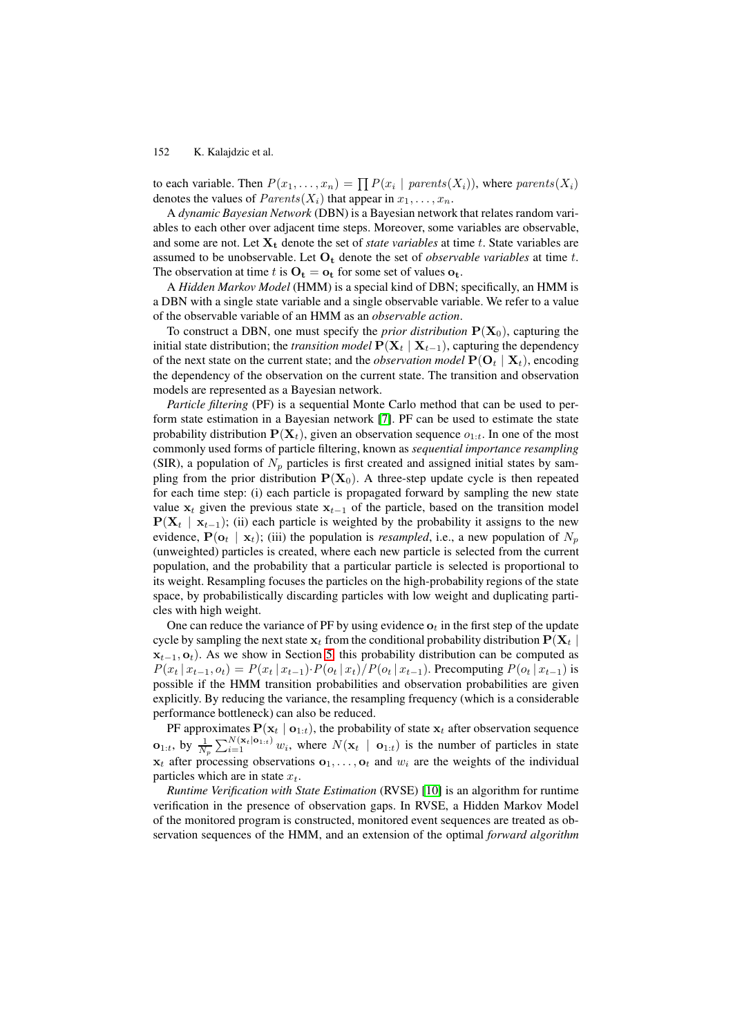to each variable. Then  $P(x_1,...,x_n) = \prod P(x_i \mid parents(X_i))$ , where *parents*( $X_i$ ) denotes the values of *Parents*( $X_i$ ) that appear in  $x_i$ denotes the values of  $Parents(X_i)$  that appear in  $x_1, \ldots, x_n$ .

A *dynamic Bayesian Network* (DBN) is a Bayesian network that relates random variables to each other over adjacent time steps. Moreover, some variables are observable, and some are not. Let  $X_t$  denote the set of *state variables* at time t. State variables are assumed to be unobservable. Let **O<sup>t</sup>** denote the set of *observable variables* at time t. The observation at time t is  $O_t = o_t$  for some set of values  $o_t$ .

A *Hidden Markov Model* (HMM) is a special kind of DBN; specifically, an HMM is a DBN with a single state variable and a single observable variable. We refer to a value of the observable variable of an HMM as an *observable action*.

To construct a DBN, one must specify the *prior distribution*  $P(X_0)$ , capturing the initial state distribution; the *transition model*  $P(X_t | X_{t-1})$ , capturing the dependency of the next state on the current state; and the *observation model*  $P(O_t | X_t)$ , encoding the dependency of the observation on the current state. The transition and observation models are represented as a Bayesian network.

*Particle filtering* (PF) is a sequential Monte Carlo method that can be used to perform state estimation in a Bayesian network [\[7\]](#page-17-4). PF can be used to estimate the state probability distribution  $P(X_t)$ , given an observation sequence  $o_{1:t}$ . In one of the most commonly used forms of particle filtering, known as *sequential importance resampling* (SIR), a population of  $N_p$  particles is first created and assigned initial states by sampling from the prior distribution  $P(X_0)$ . A three-step update cycle is then repeated for each time step: (i) each particle is propagated forward by sampling the new state value  $\mathbf{x}_t$  given the previous state  $\mathbf{x}_{t-1}$  of the particle, based on the transition model  $P(X_t | X_{t-1})$ ; (ii) each particle is weighted by the probability it assigns to the new evidence,  $P(\mathbf{o}_t | \mathbf{x}_t)$ ; (iii) the population is *resampled*, i.e., a new population of  $N_p$ (unweighted) particles is created, where each new particle is selected from the current population, and the probability that a particular particle is selected is proportional to its weight. Resampling focuses the particles on the high-probability regions of the state space, by probabilistically discarding particles with low weight and duplicating particles with high weight.

One can reduce the variance of PF by using evidence  $o_t$  in the first step of the update cycle by sampling the next state  $\mathbf{x}_t$  from the conditional probability distribution  $P(\mathbf{X}_t | \mathbf{X}_t)$  $\mathbf{x}_{t-1}, \mathbf{o}_t$ ). As we show in Section [5,](#page-7-0) this probability distribution can be computed as  $P(x_t | x_{t-1}, o_t) = P(x_t | x_{t-1}) \cdot P(o_t | x_t) / P(o_t | x_{t-1})$ . Precomputing  $P(o_t | x_{t-1})$  is possible if the HMM transition probabilities and observation probabilities are given explicitly. By reducing the variance, the resampling frequency (which is a considerable performance bottleneck) can also be reduced.

**PF** approximates  $P(\mathbf{x}_t | \mathbf{o}_{1:t})$ , the probability of state  $\mathbf{x}_t$  after observation sequence  $\mathbf{o}_{1:t}$ , by  $\frac{1}{N_p} \sum_{i=1}^{N(\mathbf{x}_t | \mathbf{o}_{1:t})} w_i$ , where  $N(\mathbf{x}_t | \mathbf{o}_{1:t})$  is the number of particles in state  $x_t$  after processing observations  $o_1, \ldots, o_t$  and  $w_i$  are the weights of the individual particles which are in state  $x_t$ .

*Runtime Verification with State Estimation* (RVSE) [\[10\]](#page-17-2) is an algorithm for runtime verification in the presence of observation gaps. In RVSE, a Hidden Markov Model of the monitored program is constructed, monitored event sequences are treated as observation sequences of the HMM, and an extension of the optimal *forward algorithm*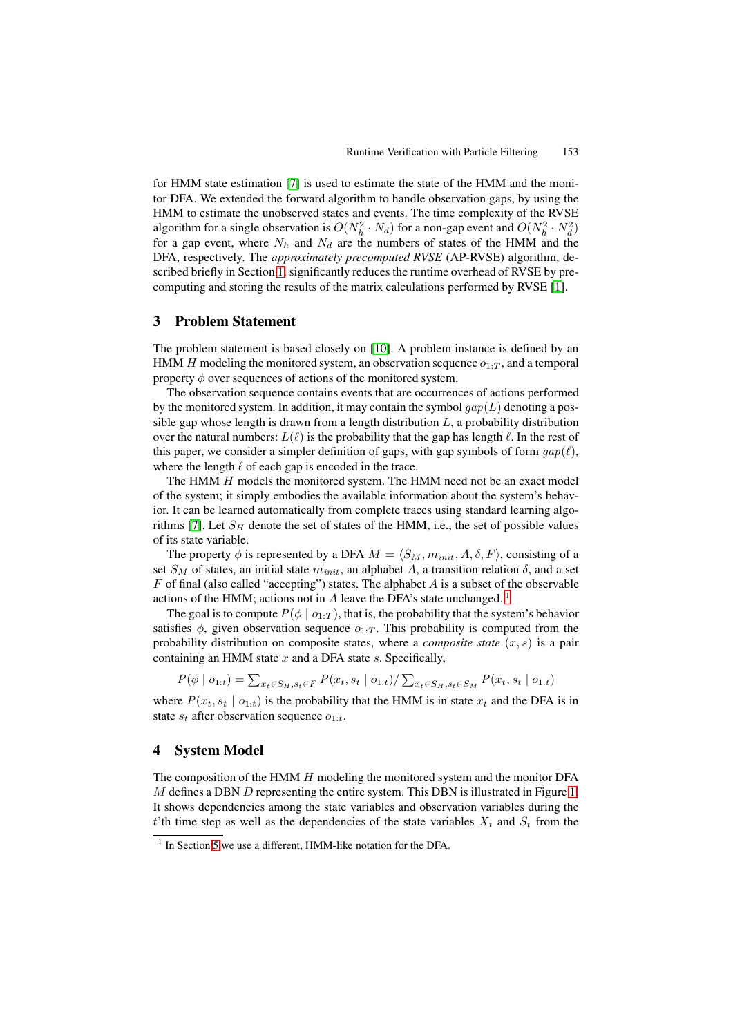for HMM state estimation [\[7\]](#page-17-4) is used to estimate the state of the HMM and the monitor DFA. We extended the forward algorithm to handle observation gaps, by using the HMM to estimate the unobserved states and events. The time complexity of the RVSE algorithm for a single observation is  $O(N_h^2 \cdot N_d)$  for a non-gap event and  $O(N_h^2 \cdot N_d^2)$ for a gap event, where  $N_h$  and  $N_d$  are the numbers of states of the HMM and the DFA, respectively. The *approximately precomputed RVSE* (AP-RVSE) algorithm, described briefly in Section [1,](#page-0-0) significantly reduces the runtime overhead of RVSE by precomputing and storing the results of the matrix calculations performed by RVSE [\[1\]](#page-17-3).

## <span id="page-4-0"></span>**3 Problem Statement**

The problem statement is based closely on [\[10\]](#page-17-2). A problem instance is defined by an HMM H modeling the monitored system, an observation sequence  $o_1$ .  $T$ , and a temporal property  $\phi$  over sequences of actions of the monitored system.

The observation sequence contains events that are occurrences of actions performed by the monitored system. In addition, it may contain the symbol  $gap(L)$  denoting a possible gap whose length is drawn from a length distribution  $L$ , a probability distribution over the natural numbers:  $L(\ell)$  is the probability that the gap has length  $\ell$ . In the rest of this paper, we consider a simpler definition of gaps, with gap symbols of form  $gap(\ell)$ , where the length  $\ell$  of each gap is encoded in the trace.

The HMM H models the monitored system. The HMM need not be an exact model of the system; it simply embodies the available information about the system's behavior. It can be learned automatically from complete traces using standard learning algo-rithms [\[7\]](#page-17-4). Let  $S_H$  denote the set of states of the HMM, i.e., the set of possible values of its state variable.

The property  $\phi$  is represented by a DFA  $M = \langle S_M, m_{init}, A, \delta, F \rangle$ , consisting of a set  $S_M$  of states, an initial state  $m_{init}$ , an alphabet A, a transition relation  $\delta$ , and a set  $F$  of final (also called "accepting") states. The alphabet  $A$  is a subset of the observable actions of the HMM; actions not in  $A$  leave the DFA's state unchanged.<sup>[1](#page-4-2)</sup>

The goal is to compute  $P(\phi \mid o_1 \cdot T)$ , that is, the probability that the system's behavior satisfies  $\phi$ , given observation sequence  $o_{1:T}$ . This probability is computed from the probability distribution on composite states, where a *composite state*  $(x, s)$  is a pair containing an HMM state  $x$  and a DFA state  $s$ . Specifically,

$$
P(\phi \mid o_{1:t}) = \sum_{x_t \in S_H, s_t \in F} P(x_t, s_t \mid o_{1:t}) / \sum_{x_t \in S_H, s_t \in S_M} P(x_t, s_t \mid o_{1:t})
$$

where  $P(x_t, s_t | o_{1:t})$  is the probability that the HMM is in state  $x_t$  and the DFA is in state  $s_t$  after observation sequence  $o_{1:t}$ .

## <span id="page-4-1"></span>**4 System Model**

The composition of the HMM  $H$  modeling the monitored system and the monitor DFA  $M$  defines a DBN  $D$  representing the entire system. This DBN is illustrated in Figure [1.](#page-5-0) It shows dependencies among the state variables and observation variables during the t'th time step as well as the dependencies of the state variables  $X_t$  and  $S_t$  from the

<span id="page-4-2"></span> $1$  In Section [5](#page-7-0) we use a different, HMM-like notation for the DFA.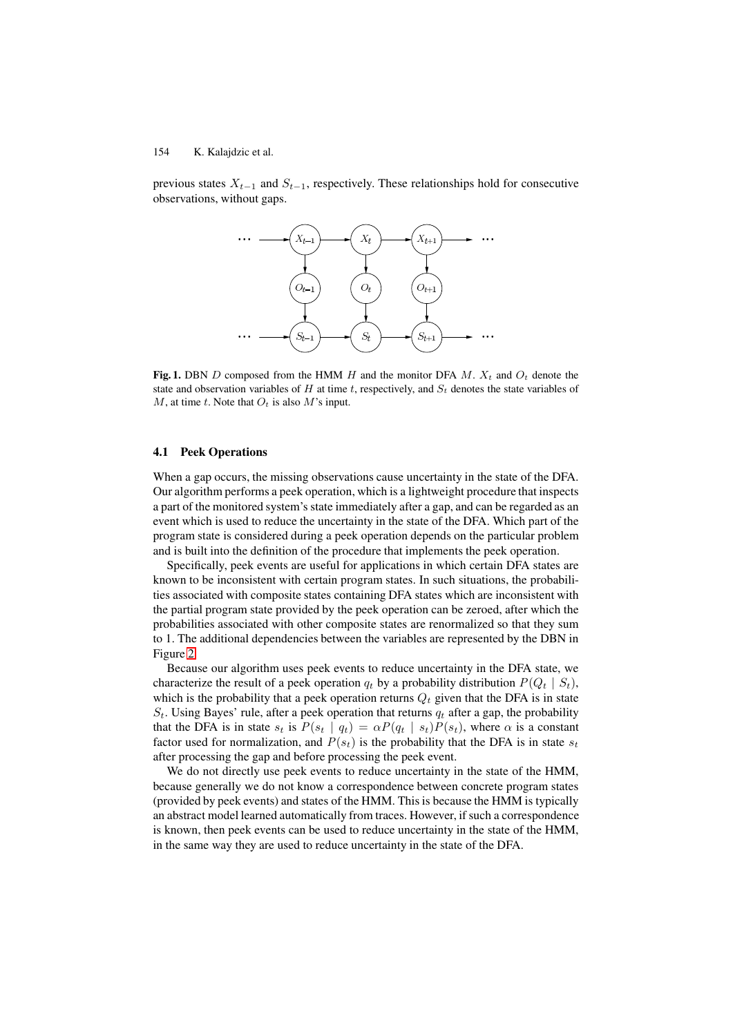previous states  $X_{t-1}$  and  $S_{t-1}$ , respectively. These relationships hold for consecutive observations, without gaps.

<span id="page-5-0"></span>

**Fig. 1.** DBN D composed from the HMM H and the monitor DFA  $M$ .  $X_t$  and  $O_t$  denote the state and observation variables of H at time t, respectively, and  $S_t$  denotes the state variables of  $M$ , at time t. Note that  $O_t$  is also  $M$ 's input.

#### **4.1 Peek Operations**

When a gap occurs, the missing observations cause uncertainty in the state of the DFA. Our algorithm performs a peek operation, which is a lightweight procedure that inspects a part of the monitored system's state immediately after a gap, and can be regarded as an event which is used to reduce the uncertainty in the state of the DFA. Which part of the program state is considered during a peek operation depends on the particular problem and is built into the definition of the procedure that implements the peek operation.

Specifically, peek events are useful for applications in which certain DFA states are known to be inconsistent with certain program states. In such situations, the probabilities associated with composite states containing DFA states which are inconsistent with the partial program state provided by the peek operation can be zeroed, after which the probabilities associated with other composite states are renormalized so that they sum to 1. The additional dependencies between the variables are represented by the DBN in Figure [2.](#page-6-0)

Because our algorithm uses peek events to reduce uncertainty in the DFA state, we characterize the result of a peek operation  $q_t$  by a probability distribution  $P(Q_t | S_t)$ , which is the probability that a peek operation returns  $Q_t$  given that the DFA is in state  $S_t$ . Using Bayes' rule, after a peek operation that returns  $q_t$  after a gap, the probability that the DFA is in state  $s_t$  is  $P(s_t | q_t) = \alpha P(q_t | s_t) P(s_t)$ , where  $\alpha$  is a constant factor used for normalization, and  $P(s_t)$  is the probability that the DFA is in state  $s_t$ after processing the gap and before processing the peek event.

We do not directly use peek events to reduce uncertainty in the state of the HMM, because generally we do not know a correspondence between concrete program states (provided by peek events) and states of the HMM. This is because the HMM is typically an abstract model learned automatically from traces. However, if such a correspondence is known, then peek events can be used to reduce uncertainty in the state of the HMM, in the same way they are used to reduce uncertainty in the state of the DFA.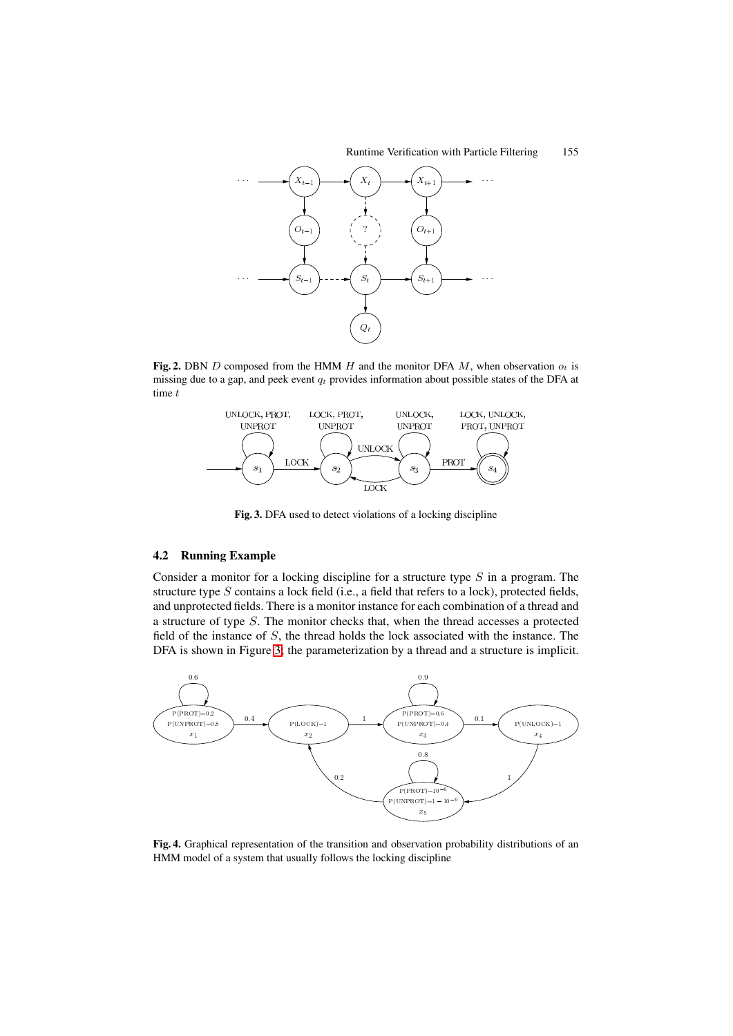

**Fig. 2.** DBN D composed from the HMM H and the monitor DFA  $M$ , when observation  $o_t$  is missing due to a gap, and peek event <sup>q</sup>*<sup>t</sup>* provides information about possible states of the DFA at time  $t$ 

<span id="page-6-0"></span>

<span id="page-6-1"></span>**Fig. 3.** DFA used to detect violations of a locking discipline

## <span id="page-6-3"></span>**4.2 Running Example**

Consider a monitor for a locking discipline for a structure type  $S$  in a program. The structure type S contains a lock field (i.e., a field that refers to a lock), protected fields, and unprotected fields. There is a monitor instance for each combination of a thread and a structure of type S. The monitor checks that, when the thread accesses a protected field of the instance of S, the thread holds the lock associated with the instance. The DFA is shown in Figure [3;](#page-6-1) the parameterization by a thread and a structure is implicit.



<span id="page-6-2"></span>**Fig. 4.** Graphical representation of the transition and observation probability distributions of an HMM model of a system that usually follows the locking discipline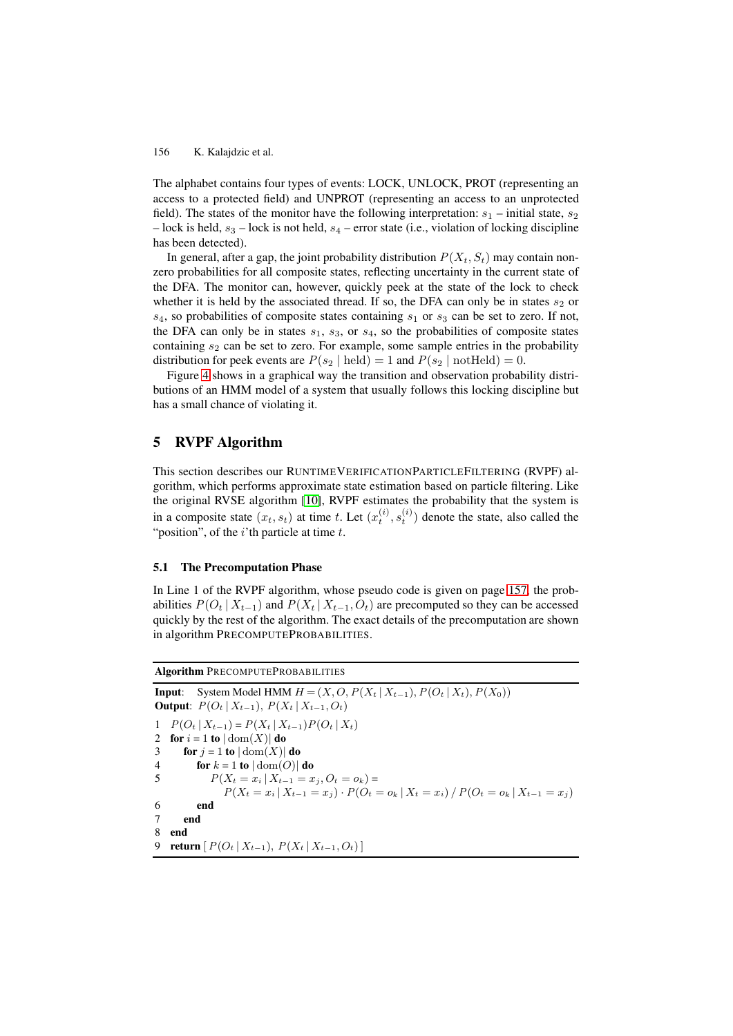The alphabet contains four types of events: LOCK, UNLOCK, PROT (representing an access to a protected field) and UNPROT (representing an access to an unprotected field). The states of the monitor have the following interpretation:  $s_1$  – initial state,  $s_2$ – lock is held,  $s_3$  – lock is not held,  $s_4$  – error state (i.e., violation of locking discipline has been detected).

In general, after a gap, the joint probability distribution  $P(X_t, S_t)$  may contain nonzero probabilities for all composite states, reflecting uncertainty in the current state of the DFA. The monitor can, however, quickly peek at the state of the lock to check whether it is held by the associated thread. If so, the DFA can only be in states  $s_2$  or  $s_4$ , so probabilities of composite states containing  $s_1$  or  $s_3$  can be set to zero. If not, the DFA can only be in states  $s_1$ ,  $s_3$ , or  $s_4$ , so the probabilities of composite states containing  $s_2$  can be set to zero. For example, some sample entries in the probability distribution for peek events are  $P(s_2 | \text{ held}) = 1$  and  $P(s_2 | \text{notHeld}) = 0$ .

Figure [4](#page-6-2) shows in a graphical way the transition and observation probability distributions of an HMM model of a system that usually follows this locking discipline but has a small chance of violating it.

## <span id="page-7-0"></span>**5 RVPF Algorithm**

This section describes our RUNTIMEVERIFICATIONPARTICLEFILTERING (RVPF) algorithm, which performs approximate state estimation based on particle filtering. Like the original RVSE algorithm [\[10\]](#page-17-2), RVPF estimates the probability that the system is in a composite state  $(x_t, s_t)$  at time t. Let  $(x_t^{(i)}, s_t^{(i)})$  denote the state, also called the "position", of the  $i$ 'th particle at time  $t$ .

#### **5.1 The Precomputation Phase**

In Line 1 of the RVPF algorithm, whose pseudo code is given on page [157,](#page-6-3) the probabilities  $P(O_t | X_{t-1})$  and  $P(X_t | X_{t-1}, O_t)$  are precomputed so they can be accessed quickly by the rest of the algorithm. The exact details of the precomputation are shown in algorithm PRECOMPUTEPROBABILITIES.

**Algorithm** PRECOMPUTEPROBABILITIES

```
Input: System Model HMM H = (X, O, P(X_t | X_{t-1}), P(O_t | X_t), P(X_0))Output: P(O_t | X_{t-1}), P(X_t | X_{t-1}, O_t)<br>1 P(O_t | X_{t-1}) = P(X_t | X_{t-1}) P(O_t | X_t)1 P(O_t | X_{t-1}) = P(X_t | X_{t-1}) P(O_t | X_t)<br>2 for i = 1 to |\text{dom}(X)| do
2 for i = 1 to |\text{dom}(X)| do<br>3 for j = 1 to |\text{dom}(X)|3 for j = 1 to |\text{dom}(X)| do<br>4 for k = 1 to |\text{dom}(O)|4 for k = 1 to |\text{dom}(O)| do<br>5 P(X_t = x_i | X_{t-1} = x_i)P(X_t = x_i | X_{t-1} = x_j, O_t = o_k) =P(X_t = x_i | X_{t-1} = x_j) \cdot P(O_t = o_k | X_t = x_i) / P(O_t = o_k | X_{t-1} = x_j)6 end
7 end
8 end
9 return [P(O_t | X_{t-1}), P(X_t | X_{t-1}, O_t)]
```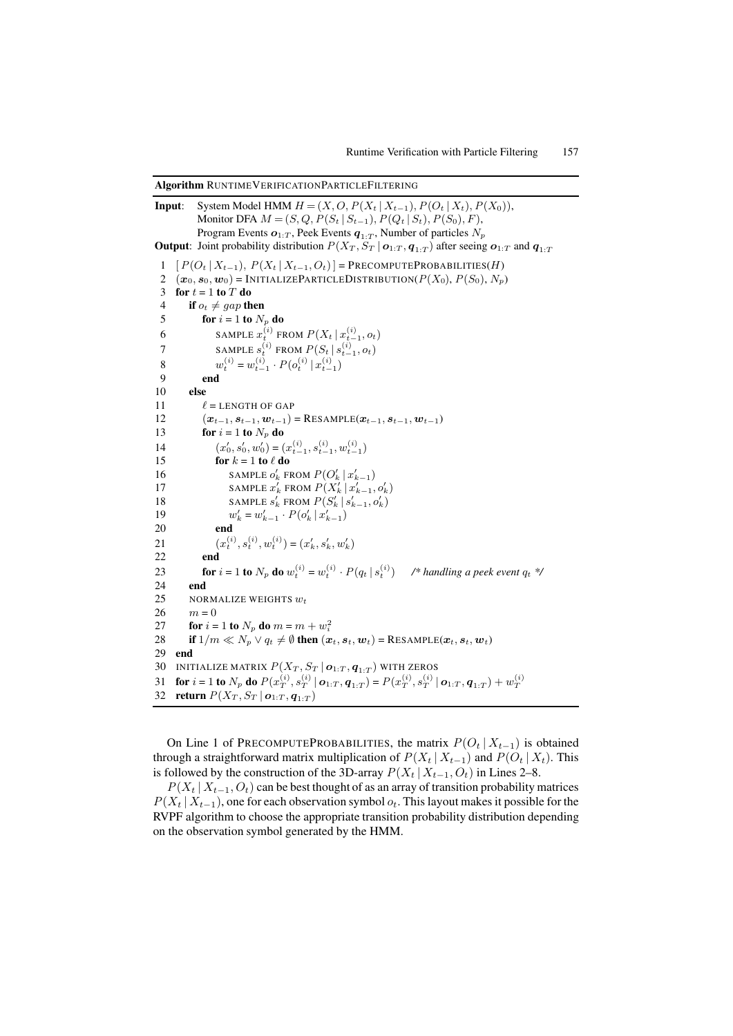**Algorithm** RUNTIMEVERIFICATIONPARTICLEFILTERING

**Input**: System Model HMM <sup>H</sup> = (X, O, *<sup>P</sup>*(X*<sup>t</sup>* <sup>|</sup> <sup>X</sup>*<sup>t</sup>*−<sup>1</sup>),*P*(O*<sup>t</sup>* <sup>|</sup> <sup>X</sup>*<sup>t</sup>*),*P*(X<sup>0</sup>)), Monitor DFA  $M = (S, Q, P(S_t | S_{t-1}), P(Q_t | S_t), P(S_0), F)$ , Program Events  $o_{1:T}$ , Peek Events  $q_{1:T}$ , Number of particles  $N_p$ **Output**: Joint probability distribution  $P(X_T, S_T | o_{1:T}, q_{1:T})$  after seeing  $o_{1:T}$  and  $q_{1:T}$  $1$   $[P(O_t | X_{t-1}), P(X_t | X_{t-1}, O_t)] = \text{PRECOMPUTEPROBABILITY}(H)$ 2  $(\boldsymbol{x}_0, \boldsymbol{s}_0, \boldsymbol{w}_0)$  = INITIALIZEPARTICLEDISTRIBUTION( $P(X_0), P(S_0), N_p$ ) 3 **for**  $t = 1$  **to**  $T$  **do**<br>4 **if**  $o_t \neq gan$  **th** 4 **if**  $o_t \neq gap$  **then**<br>5 **for**  $i = 1$  **to**  $N$ 5 **for**  $i = 1$  **to**  $N_p$  **do**<br>6 **SAMPLE**  $x_i^{(i)}$  **FI** 6 SAMPLE  $x_t^{(i)}$  FROM  $P(X_t | x_{t-1}^{(i)}, o_t)$ 7<br>
SAMPLE  $s_i^{(i)}$  FROM  $P(S_t | s_{t-1}^{(i)}, o_t)$ <br>  $R(s_i^{(i)})_{t-1}^{(i)}, o_t$ 8  $w_t^{(i)} = w_{t-1}^{(i)} \cdot P(o_t^{(i)} | x_{t-1}^{(i)})$ 9 **end** 10 **else**  $\begin{array}{ccc} 11 & \ell \\ 12 & \ell \end{array}$  $\ell$  = LENGTH OF GAP 12  $(x_{t-1}, s_{t-1}, w_{t-1}) = \text{RESAMPLE}(x_{t-1}, s_{t-1}, w_{t-1})$ <br>
13 for  $i = 1$  to  $N_{\infty}$  do 13 **for**  $i = 1$  **to**  $N_p$  **do**<br>14  $(x'_0, s'_0, w'_0) = ($ 14  $(x'_0, s'_0, w'_0) = (x_{t-1}^{(i)}, s_{t-1}^{(i)}, w_{t-1}^{(i)})$ <br> **for**  $k - 1$  **to**  $\ell$  **do** 15 **for**  $k = 1$  **to**  $\ell$  **do**<br>16 **SAMPLE**  $\alpha'$  **E** 16 SAMPLE  $o'_k$  FROM  $P(O'_k | x'_{k-1})$ <br> **EXAMPLE**  $x'$  FROM  $P(Y' | x'$ 17 SAMPLE  $x'_k$  FROM  $P(X'_k | x'_{k-1}, o'_k)$ <br> **EXAMPLE of FROM**  $P(S' | s'_{k-1}, o'_k)$ 18 SAMPLE  $s'_k$  FROM  $P(S'_k | s'_{k-1}, o'_k)$ <br>  $w' = w' - P(o' | x')$ 19  $w'_k$ <br>20 end  $k'_{k} = w'_{k-1} \cdot P(o'_{k} | x'_{k-1})$ 20 **end** 21  $(x_t^{(i)}, s_t^{(i)}, w_t^{(i)}) = (x_k', s_k', w_k')$ 22 **end** 23 **for**  $i = 1$  **to**  $N_p$  **do**  $w_t^{(i)} = w_t^{(i)} \cdot P(q_t | s_t^{(i)})$  /\* handling a peek event  $q_t$  \*/ 24 **end** 25 NORMALIZE WEIGHTS  $w_t$ <br>26  $m = 0$ 26  $m = 0$ <br>27 **for** *i* = 27 **for**  $i = 1$  **to**  $N_p$  **do**  $m = m + w_i^2$ <br>28 **if**  $1/m \ll N \sim a_i \neq \emptyset$  **then**  $(n-1)^2$ 28 **if**  $1/m \ll N_p \lor q_t \neq \emptyset$  then  $(\boldsymbol{x}_t, \boldsymbol{s}_t, \boldsymbol{w}_t) = \text{RESAMPLE}(\boldsymbol{x}_t, \boldsymbol{s}_t, \boldsymbol{w}_t)$ <br>29 **and** 29 **end** 30 INITIALIZE MATRIX  $P(X_T, S_T | o_{1:T}, q_{1:T})$  with zeros<br>31 **for**  $i = 1$  to  $N_r$  do  $P(x_r^{(i)}, s_r^{(i)} | o_{1:T}, q_{1:T}) = P(x_r^{(i)}, s_r^{(i)} | o_{1:T})$ 31 for  $i = 1$  to  $N_p$  do  $P(x_T^{(i)}, s_T^{(i)} | \mathbf{o}_{1:T}, \mathbf{q}_{1:T}) = P(x_T^{(i)}, s_T^{(i)} | \mathbf{o}_{1:T}, \mathbf{q}_{1:T}) + w_T^{(i)}$ <br>32 return  $P(X_T, S_T | \mathbf{o}_{1:T}, \mathbf{q}_{1:T})$ 32 **return**  $P(X_T, S_T | o_{1:T}, q_{1:T})$ 

On Line 1 of PRECOMPUTEPROBABILITIES, the matrix  $P(O_t | X_{t-1})$  is obtained through a straightforward matrix multiplication of  $P(X_t | X_{t-1})$  and  $P(O_t | X_t)$ . This is followed by the construction of the 3D-array  $P(X_t | X_{t-1}, O_t)$  in Lines 2–8.

 $P(X_t | X_{t-1}, O_t)$  can be best thought of as an array of transition probability matrices  $P(X_t | X_{t-1})$ , one for each observation symbol  $o_t$ . This layout makes it possible for the RVPF algorithm to choose the appropriate transition probability distribution depending on the observation symbol generated by the HMM.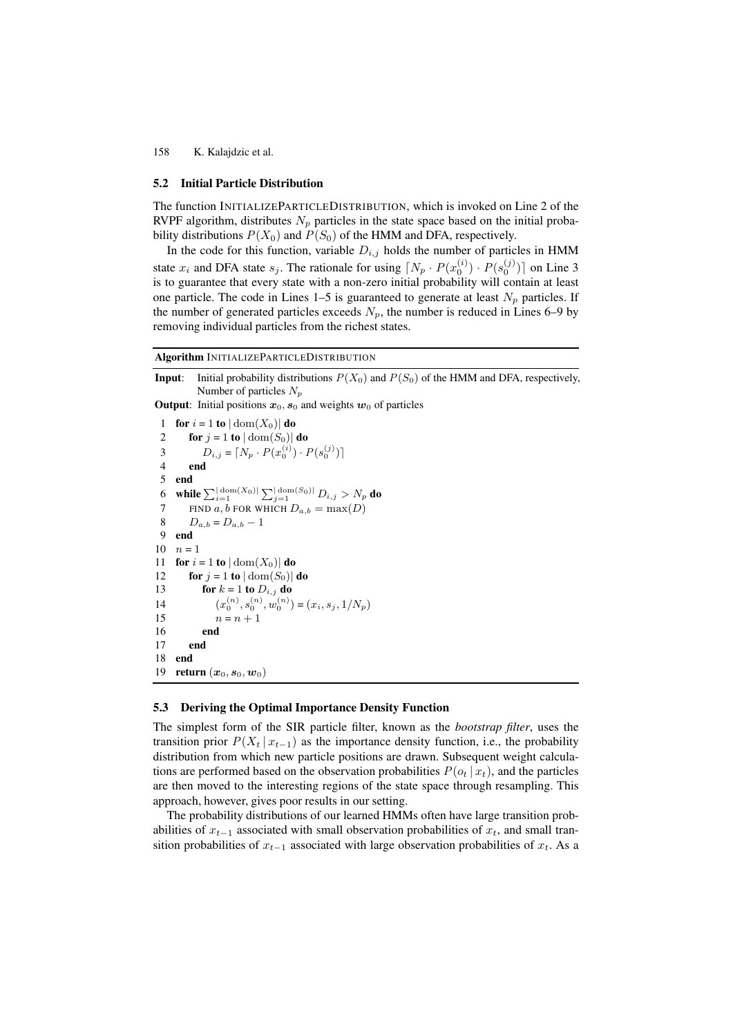## **5.2 Initial Particle Distribution**

The function INITIALIZEPARTICLEDISTRIBUTION, which is invoked on Line 2 of the RVPF algorithm, distributes  $N_p$  particles in the state space based on the initial probability distributions  $P(X_0)$  and  $P(S_0)$  of the HMM and DFA, respectively.

In the code for this function, variable  $D_{i,j}$  holds the number of particles in HMM state  $x_i$  and DFA state  $s_j$ . The rationale for using  $[N_p \cdot P(x_0^{(i)}) \cdot P(s_0^{(j)})]$  on Line 3<br>is to quarantee that every state with a non-zero initial probability will contain at least is to guarantee that every state with a non-zero initial probability will contain at least one particle. The code in Lines 1–5 is guaranteed to generate at least  $N_p$  particles. If the number of generated particles exceeds  $N_p$ , the number is reduced in Lines 6–9 by removing individual particles from the richest states.

**Algorithm** INITIALIZEPARTICLEDISTRIBUTION

**Input**: Initial probability distributions  $P(X_0)$  and  $P(S_0)$  of the HMM and DFA, respectively, Number of particles <sup>N</sup>*<sup>p</sup>*

**Output**: Initial positions  $x_0$ ,  $s_0$  and weights  $w_0$  of particles

```
1 for i = 1 to |\text{dom}(X_0)| do<br>2 for i = 1 to |\text{dom}(S_0)|2 for j = 1 to |\text{dom}(S_0)| do<br>3 D_{i,j} = [N_n \cdot P(x_0^{(i)}) \cdot P]3 D_{i,j} = [N_p \cdot P(x_0^{(i)}) \cdot P(s_0^{(j)})]4 end
  5 end
  6 while \sum_{i=1}^{\lfloor \text{dom}(X_0) \rfloor} \sum_{j=1}^{\lfloor \text{dom}(S_0) \rfloor} D_{i,j} > N_p do<br>
\sum_{i=1}^{\lfloor \text{dom}(X_0) \rfloor} D_{i,j} > N_p do
 7 FIND a, b FOR WHICH D_{a,b} = \max(D)<br>8 D_{a,b} = D_{a,b} - 18 D_{a,b} = D_{a,b} - 1<br>9 end
       9 end
10 n = 1<br>11 for i
11 for i = 1 to |\text{dom}(X_0)| do<br>12 for i = 1 to |\text{dom}(S_0)|12 for j = 1 to |\text{dom}(S_0)| do<br>13 for k = 1 to D_{i, j} do
13 for k = 1 to D_{i,j} do<br>14 (x_i^{(n)}, s_i^{(n)}, w_i^{(n)})14 (x_0^{(n)}, s_0^{(n)}, w_0^{(n)}) = (x_i, s_j, 1/N_p)<br>
15 n - n + 115 n = n + 1<br>16 end
                   16 end
17 end
18 end
19 return (x_0, s_0, w_0)
```
## **5.3 Deriving the Optimal Importance Density Function**

The simplest form of the SIR particle filter, known as the *bootstrap filter*, uses the transition prior  $P(X_t | x_{t-1})$  as the importance density function, i.e., the probability distribution from which new particle positions are drawn. Subsequent weight calculations are performed based on the observation probabilities  $P(o_t | x_t)$ , and the particles are then moved to the interesting regions of the state space through resampling. This approach, however, gives poor results in our setting.

The probability distributions of our learned HMMs often have large transition probabilities of  $x_{t-1}$  associated with small observation probabilities of  $x_t$ , and small transition probabilities of  $x_{t-1}$  associated with large observation probabilities of  $x_t$ . As a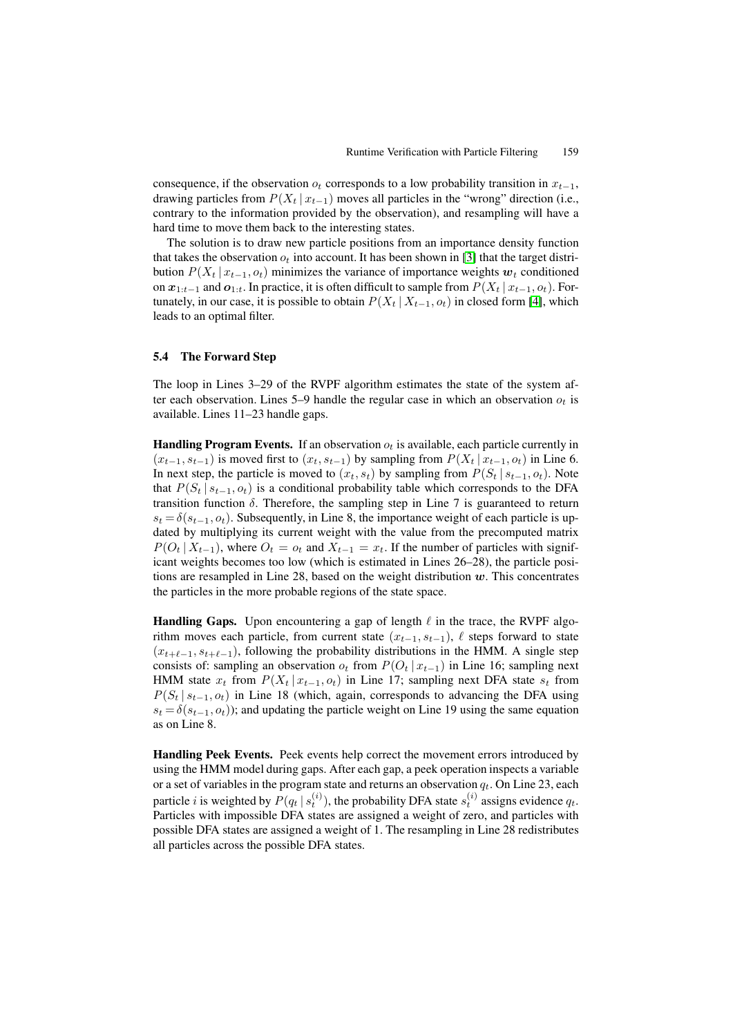consequence, if the observation  $o_t$  corresponds to a low probability transition in  $x_{t-1}$ , drawing particles from  $P(X_t | x_{t-1})$  moves all particles in the "wrong" direction (i.e., contrary to the information provided by the observation), and resampling will have a hard time to move them back to the interesting states.

The solution is to draw new particle positions from an importance density function that takes the observation  $o_t$  into account. It has been shown in [\[3\]](#page-17-6) that the target distribution  $P(X_t | x_{t-1}, o_t)$  minimizes the variance of importance weights  $w_t$  conditioned on  $x_{1:t-1}$  and  $o_{1:t}$ . In practice, it is often difficult to sample from  $P(X_t | x_{t-1}, o_t)$ . Fortunately, in our case, it is possible to obtain  $P(X_t | X_{t-1}, o_t)$  in closed form [\[4\]](#page-17-7), which leads to an optimal filter.

## **5.4 The Forward Step**

The loop in Lines 3–29 of the RVPF algorithm estimates the state of the system after each observation. Lines 5–9 handle the regular case in which an observation  $o_t$  is available. Lines 11–23 handle gaps.

**Handling Program Events.** If an observation  $o_t$  is available, each particle currently in  $(x_{t-1}, s_{t-1})$  is moved first to  $(x_t, s_{t-1})$  by sampling from  $P(X_t | x_{t-1}, o_t)$  in Line 6. In next step, the particle is moved to  $(x_t, s_t)$  by sampling from  $P(S_t | s_{t-1}, o_t)$ . Note that  $P(S_t | s_{t-1}, o_t)$  is a conditional probability table which corresponds to the DFA transition function  $\delta$ . Therefore, the sampling step in Line 7 is guaranteed to return  $s_t = \delta(s_{t-1}, o_t)$ . Subsequently, in Line 8, the importance weight of each particle is updated by multiplying its current weight with the value from the precomputed matrix  $P(O_t | X_{t-1})$ , where  $O_t = o_t$  and  $X_{t-1} = x_t$ . If the number of particles with significant weights becomes too low (which is estimated in Lines 26–28), the particle positions are resampled in Line 28, based on the weight distribution *w*. This concentrates the particles in the more probable regions of the state space.

**Handling Gaps.** Upon encountering a gap of length  $\ell$  in the trace, the RVPF algorithm moves each particle, from current state  $(x_{t-1}, s_{t-1})$ ,  $\ell$  steps forward to state  $(x_{t+\ell-1}, s_{t+\ell-1})$ , following the probability distributions in the HMM. A single step consists of: sampling an observation  $o_t$  from  $P(O_t | x_{t-1})$  in Line 16; sampling next HMM state  $x_t$  from  $P(X_t | x_{t-1}, o_t)$  in Line 17; sampling next DFA state  $s_t$  from  $P(S_t | s_{t-1}, o_t)$  in Line 18 (which, again, corresponds to advancing the DFA using  $s_t = \delta(s_{t-1}, o_t)$ ; and updating the particle weight on Line 19 using the same equation as on Line 8.

**Handling Peek Events.** Peek events help correct the movement errors introduced by using the HMM model during gaps. After each gap, a peek operation inspects a variable or a set of variables in the program state and returns an observation  $q_t$ . On Line 23, each particle *i* is weighted by  $P(q_t | s_t^{(i)})$ , the probability DFA state  $s_t^{(i)}$  assigns evidence  $q_t$ .<br>Particles with impossible DFA states are assigned a weight of zero, and particles with Particles with impossible DFA states are assigned a weight of zero, and particles with possible DFA states are assigned a weight of 1. The resampling in Line 28 redistributes all particles across the possible DFA states.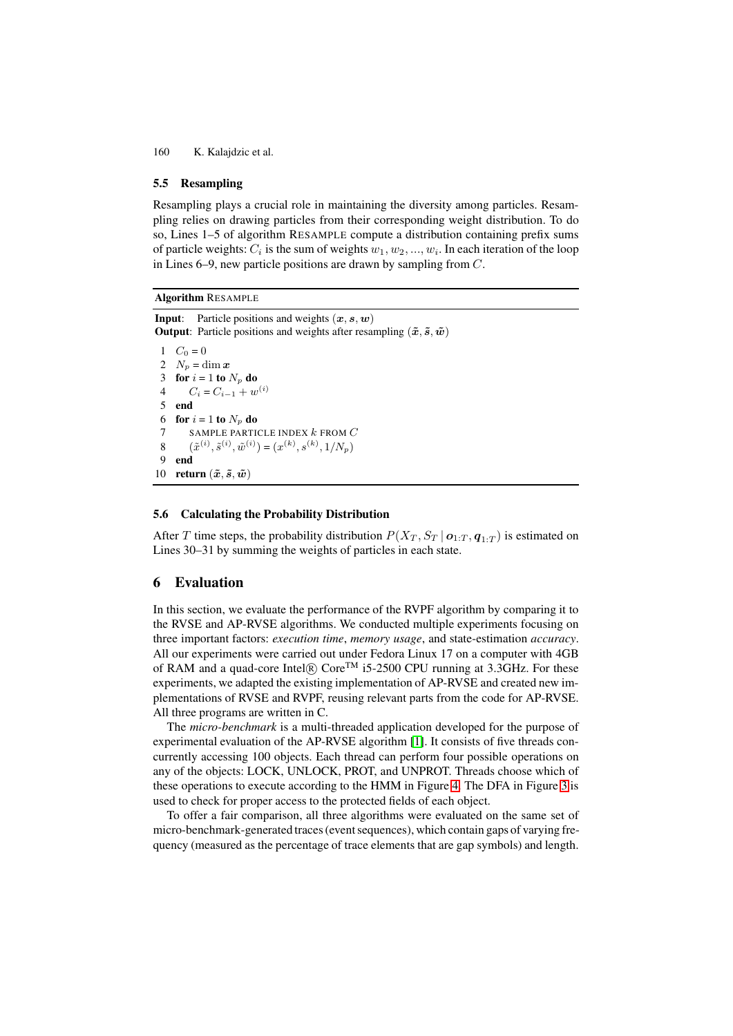## **5.5 Resampling**

Resampling plays a crucial role in maintaining the diversity among particles. Resampling relies on drawing particles from their corresponding weight distribution. To do so, Lines 1–5 of algorithm RESAMPLE compute a distribution containing prefix sums of particle weights:  $C_i$  is the sum of weights  $w_1, w_2, ..., w_i$ . In each iteration of the loop in Lines 6–9, new particle positions are drawn by sampling from C.

**Algorithm** RESAMPLE

```
Input: Particle positions and weights (x, s, w)Output: Particle positions and weights after resampling (\tilde{x}, \tilde{s}, \tilde{w})1 C_0 = 0<br>2 N_n = d2 N_p = \dim x<br>3 for i = 1 to.
  3 for i = 1 to N_p do<br>4 C_i = C_{i+1} + w4 C_i = C_{i-1} + w^{(i)}<br>5 end
       5 end
 6 for i = 1 to N_p do<br>7 SAMPLE PARTI
 7 SAMPLE PARTICLE INDEX k FROM C<br>8 (\tilde{\tau}^{(i)} \tilde{s}^{(i)} \tilde{w}^{(i)}) = (r^{(k)} \tilde{s}^{(k)} 1/N_c)8 (\tilde{x}^{(i)}, \tilde{s}^{(i)}, \tilde{w}^{(i)}) = (x^{(k)}, s^{(k)}, 1/N_p)9 end
10 return (\tilde{x}, \tilde{s}, \tilde{w})
```
## **5.6 Calculating the Probability Distribution**

After T time steps, the probability distribution  $P(X_T, S_T | o_{1:T}, q_{1:T})$  is estimated on Lines 30–31 by summing the weights of particles in each state.

## <span id="page-11-0"></span>**6 Evaluation**

In this section, we evaluate the performance of the RVPF algorithm by comparing it to the RVSE and AP-RVSE algorithms. We conducted multiple experiments focusing on three important factors: *execution time*, *memory usage*, and state-estimation *accuracy*. All our experiments were carried out under Fedora Linux 17 on a computer with 4GB of RAM and a quad-core Intel $\Omega$  Core<sup>TM</sup> i5-2500 CPU running at 3.3GHz. For these experiments, we adapted the existing implementation of AP-RVSE and created new implementations of RVSE and RVPF, reusing relevant parts from the code for AP-RVSE. All three programs are written in C.

The *micro-benchmark* is a multi-threaded application developed for the purpose of experimental evaluation of the AP-RVSE algorithm [\[1\]](#page-17-3). It consists of five threads concurrently accessing 100 objects. Each thread can perform four possible operations on any of the objects: LOCK, UNLOCK, PROT, and UNPROT. Threads choose which of these operations to execute according to the HMM in Figure [4.](#page-6-2) The DFA in Figure [3](#page-6-1) is used to check for proper access to the protected fields of each object.

To offer a fair comparison, all three algorithms were evaluated on the same set of micro-benchmark-generated traces (event sequences), which contain gaps of varying frequency (measured as the percentage of trace elements that are gap symbols) and length.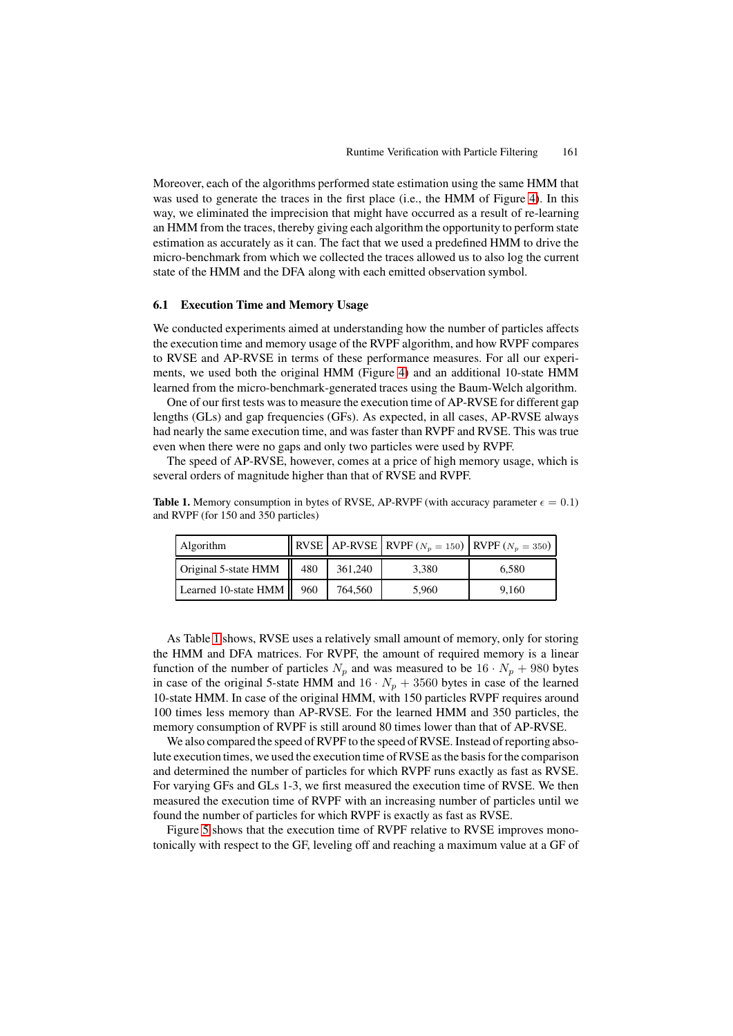Moreover, each of the algorithms performed state estimation using the same HMM that was used to generate the traces in the first place (i.e., the HMM of Figure [4\)](#page-6-2). In this way, we eliminated the imprecision that might have occurred as a result of re-learning an HMM from the traces, thereby giving each algorithm the opportunity to perform state estimation as accurately as it can. The fact that we used a predefined HMM to drive the micro-benchmark from which we collected the traces allowed us to also log the current state of the HMM and the DFA along with each emitted observation symbol.

## **6.1 Execution Time and Memory Usage**

We conducted experiments aimed at understanding how the number of particles affects the execution time and memory usage of the RVPF algorithm, and how RVPF compares to RVSE and AP-RVSE in terms of these performance measures. For all our experiments, we used both the original HMM (Figure [4\)](#page-6-2) and an additional 10-state HMM learned from the micro-benchmark-generated traces using the Baum-Welch algorithm.

One of our first tests was to measure the execution time of AP-RVSE for different gap lengths (GLs) and gap frequencies (GFs). As expected, in all cases, AP-RVSE always had nearly the same execution time, and was faster than RVPF and RVSE. This was true even when there were no gaps and only two particles were used by RVPF.

The speed of AP-RVSE, however, comes at a price of high memory usage, which is several orders of magnitude higher than that of RVSE and RVPF.

<span id="page-12-0"></span>**Table 1.** Memory consumption in bytes of RVSE, AP-RVPF (with accuracy parameter  $\epsilon = 0.1$ ) and RVPF (for 150 and 350 particles)

| Algorithm            |     |         | <b>RVSE</b> AP-RVSE RVPF ( $N_p = 150$ ) RVPF ( $N_p = 350$ ) |       |
|----------------------|-----|---------|---------------------------------------------------------------|-------|
| Original 5-state HMM | 480 | 361,240 | 3.380                                                         | 6,580 |
| Learned 10-state HMM | 960 | 764.560 | 5.960                                                         | 9.160 |

As Table [1](#page-12-0) shows, RVSE uses a relatively small amount of memory, only for storing the HMM and DFA matrices. For RVPF, the amount of required memory is a linear function of the number of particles  $N_p$  and was measured to be  $16 \cdot N_p + 980$  bytes in case of the original 5-state HMM and  $16 \cdot N_p + 3560$  bytes in case of the learned 10-state HMM. In case of the original HMM, with 150 particles RVPF requires around 100 times less memory than AP-RVSE. For the learned HMM and 350 particles, the memory consumption of RVPF is still around 80 times lower than that of AP-RVSE.

We also compared the speed of RVPF to the speed of RVSE. Instead of reporting absolute execution times, we used the execution time of RVSE as the basis for the comparison and determined the number of particles for which RVPF runs exactly as fast as RVSE. For varying GFs and GLs 1-3, we first measured the execution time of RVSE. We then measured the execution time of RVPF with an increasing number of particles until we found the number of particles for which RVPF is exactly as fast as RVSE.

Figure [5](#page-13-0) shows that the execution time of RVPF relative to RVSE improves monotonically with respect to the GF, leveling off and reaching a maximum value at a GF of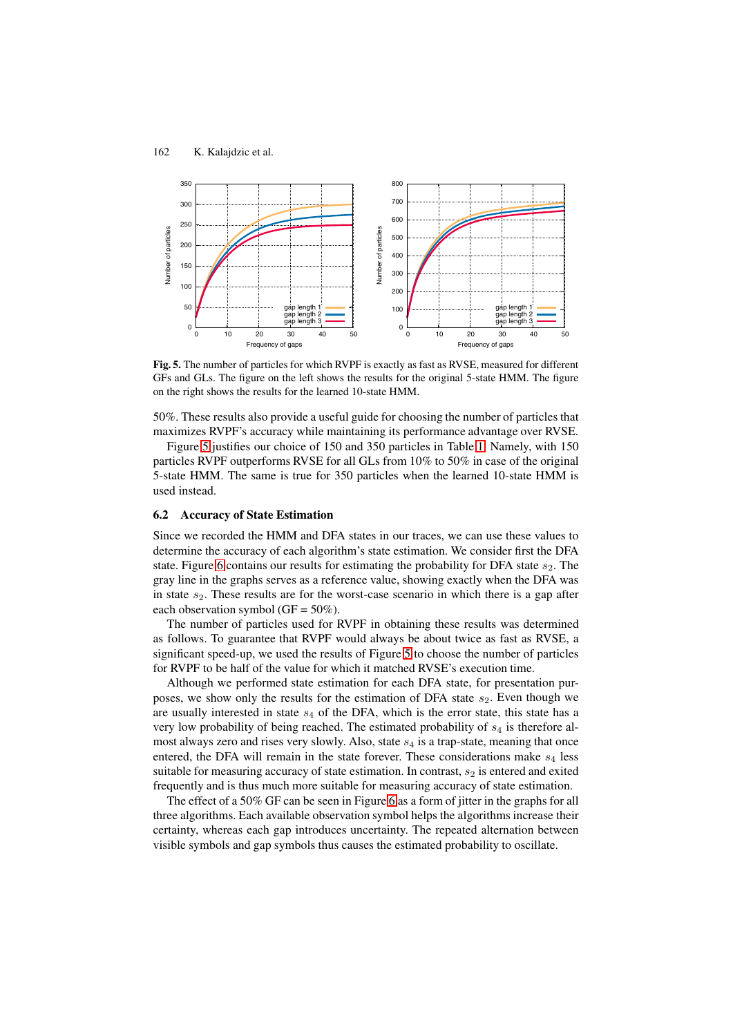

<span id="page-13-0"></span>**Fig. 5.** The number of particles for which RVPF is exactly as fast as RVSE, measured for different GFs and GLs. The figure on the left shows the results for the original 5-state HMM. The figure on the right shows the results for the learned 10-state HMM.

50%. These results also provide a useful guide for choosing the number of particles that maximizes RVPF's accuracy while maintaining its performance advantage over RVSE.

Figure [5](#page-13-0) justifies our choice of 150 and 350 particles in Table [1.](#page-12-0) Namely, with 150 particles RVPF outperforms RVSE for all GLs from 10% to 50% in case of the original 5-state HMM. The same is true for 350 particles when the learned 10-state HMM is used instead.

## **6.2 Accuracy of State Estimation**

Since we recorded the HMM and DFA states in our traces, we can use these values to determine the accuracy of each algorithm's state estimation. We consider first the DFA state. Figure [6](#page-14-0) contains our results for estimating the probability for DFA state  $s<sub>2</sub>$ . The gray line in the graphs serves as a reference value, showing exactly when the DFA was in state  $s_2$ . These results are for the worst-case scenario in which there is a gap after each observation symbol ( $GF = 50\%$ ).

The number of particles used for RVPF in obtaining these results was determined as follows. To guarantee that RVPF would always be about twice as fast as RVSE, a significant speed-up, we used the results of Figure [5](#page-13-0) to choose the number of particles for RVPF to be half of the value for which it matched RVSE's execution time.

Although we performed state estimation for each DFA state, for presentation purposes, we show only the results for the estimation of DFA state  $s_2$ . Even though we are usually interested in state  $s_4$  of the DFA, which is the error state, this state has a very low probability of being reached. The estimated probability of  $s<sub>4</sub>$  is therefore almost always zero and rises very slowly. Also, state  $s_4$  is a trap-state, meaning that once entered, the DFA will remain in the state forever. These considerations make  $s_4$  less suitable for measuring accuracy of state estimation. In contrast,  $s_2$  is entered and exited frequently and is thus much more suitable for measuring accuracy of state estimation.

The effect of a 50% GF can be seen in Figure [6](#page-14-0) as a form of jitter in the graphs for all three algorithms. Each available observation symbol helps the algorithms increase their certainty, whereas each gap introduces uncertainty. The repeated alternation between visible symbols and gap symbols thus causes the estimated probability to oscillate.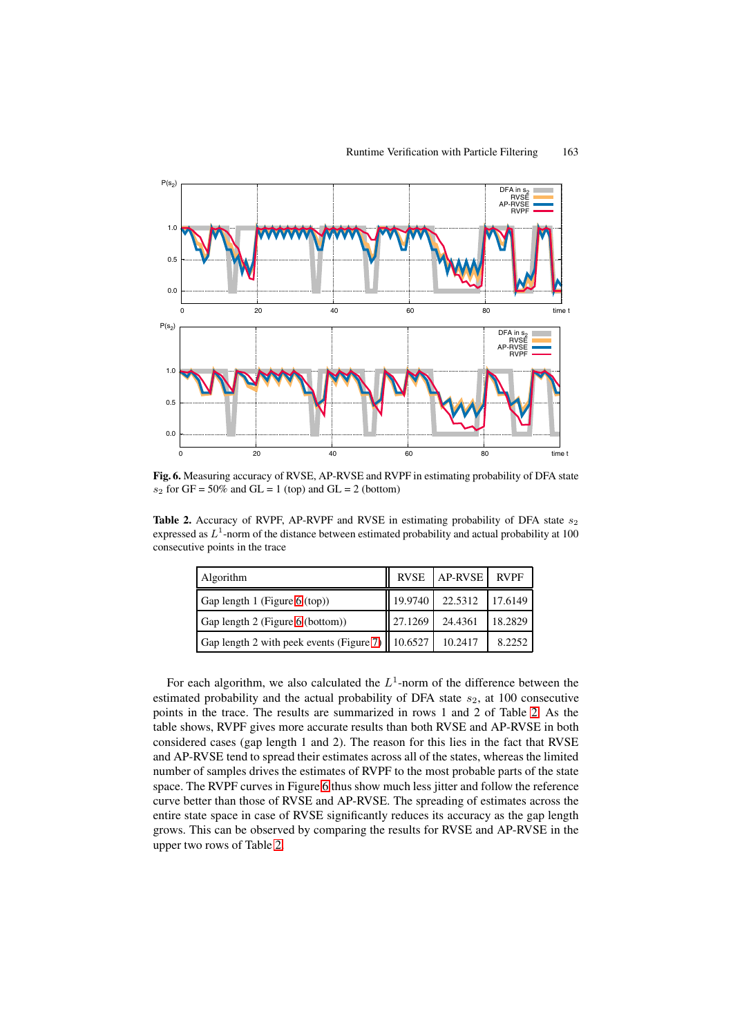

**Fig. 6.** Measuring accuracy of RVSE, AP-RVSE and RVPF in estimating probability of DFA state  $s_2$  for GF = 50% and GL = 1 (top) and GL = 2 (bottom)

<span id="page-14-1"></span>Table 2. Accuracy of RVPF, AP-RVPF and RVSE in estimating probability of DFA state  $s_2$ expressed as  $L<sup>1</sup>$ -norm of the distance between estimated probability and actual probability at 100 consecutive points in the trace

<span id="page-14-0"></span>

| Algorithm                                                  |         | RVSE   AP-RVSE | RVPF    |
|------------------------------------------------------------|---------|----------------|---------|
| Gap length 1 (Figure 6 (top))                              | 19.9740 | 22.5312        | 17.6149 |
| Gap length 2 (Figure 6 (bottom))                           | 27.1269 | 24.4361        | 18.2829 |
| Gap length 2 with peek events (Figure 7)   $\vert$ 10.6527 |         | 10.2417        | 8.2252  |

For each algorithm, we also calculated the  $L^1$ -norm of the difference between the estimated probability and the actual probability of DFA state  $s_2$ , at 100 consecutive points in the trace. The results are summarized in rows 1 and 2 of Table [2.](#page-14-1) As the table shows, RVPF gives more accurate results than both RVSE and AP-RVSE in both considered cases (gap length 1 and 2). The reason for this lies in the fact that RVSE and AP-RVSE tend to spread their estimates across all of the states, whereas the limited number of samples drives the estimates of RVPF to the most probable parts of the state space. The RVPF curves in Figure [6](#page-14-0) thus show much less jitter and follow the reference curve better than those of RVSE and AP-RVSE. The spreading of estimates across the entire state space in case of RVSE significantly reduces its accuracy as the gap length grows. This can be observed by comparing the results for RVSE and AP-RVSE in the upper two rows of Table [2.](#page-14-1)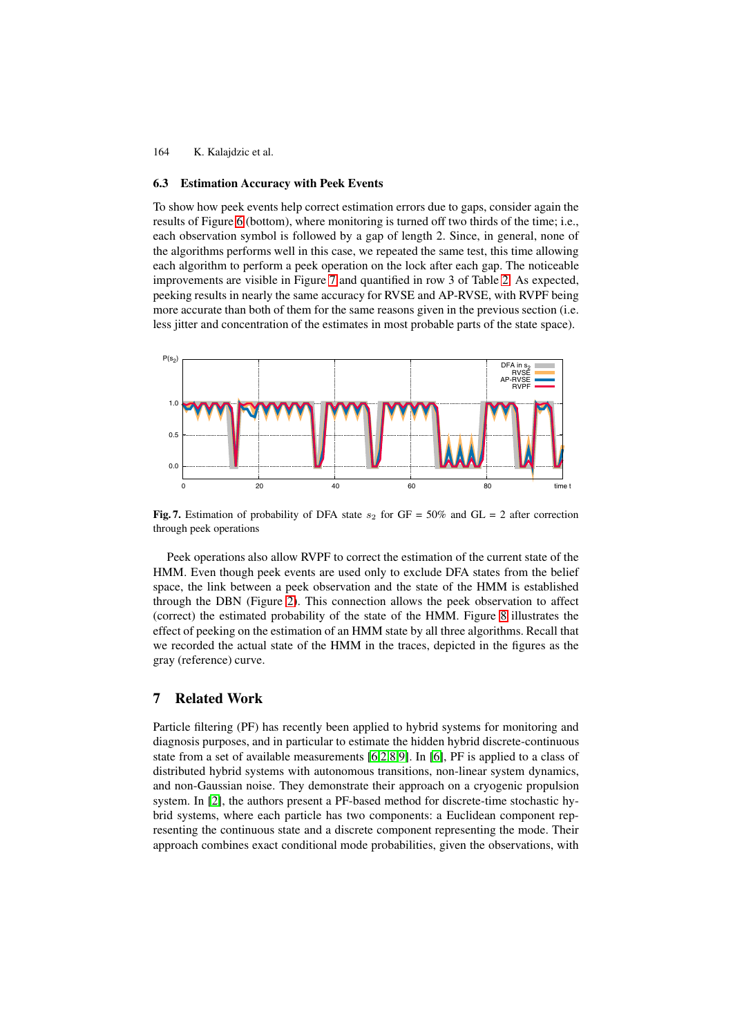## **6.3 Estimation Accuracy with Peek Events**

To show how peek events help correct estimation errors due to gaps, consider again the results of Figure [6](#page-14-0) (bottom), where monitoring is turned off two thirds of the time; i.e., each observation symbol is followed by a gap of length 2. Since, in general, none of the algorithms performs well in this case, we repeated the same test, this time allowing each algorithm to perform a peek operation on the lock after each gap. The noticeable improvements are visible in Figure [7](#page-15-1) and quantified in row 3 of Table [2.](#page-14-1) As expected, peeking results in nearly the same accuracy for RVSE and AP-RVSE, with RVPF being more accurate than both of them for the same reasons given in the previous section (i.e. less jitter and concentration of the estimates in most probable parts of the state space).



<span id="page-15-1"></span>**Fig. 7.** Estimation of probability of DFA state  $s_2$  for GF = 50% and GL = 2 after correction through peek operations

Peek operations also allow RVPF to correct the estimation of the current state of the HMM. Even though peek events are used only to exclude DFA states from the belief space, the link between a peek observation and the state of the HMM is established through the DBN (Figure [2\)](#page-6-0). This connection allows the peek observation to affect (correct) the estimated probability of the state of the HMM. Figure [8](#page-16-0) illustrates the effect of peeking on the estimation of an HMM state by all three algorithms. Recall that we recorded the actual state of the HMM in the traces, depicted in the figures as the gray (reference) curve.

## <span id="page-15-0"></span>**7 Related Work**

Particle filtering (PF) has recently been applied to hybrid systems for monitoring and diagnosis purposes, and in particular to estimate the hidden hybrid discrete-continuous state from a set of available measurements [\[6,](#page-17-8)[2,](#page-17-9)[8,](#page-17-10)[9\]](#page-17-11). In [\[6\]](#page-17-8), PF is applied to a class of distributed hybrid systems with autonomous transitions, non-linear system dynamics, and non-Gaussian noise. They demonstrate their approach on a cryogenic propulsion system. In [\[2\]](#page-17-9), the authors present a PF-based method for discrete-time stochastic hybrid systems, where each particle has two components: a Euclidean component representing the continuous state and a discrete component representing the mode. Their approach combines exact conditional mode probabilities, given the observations, with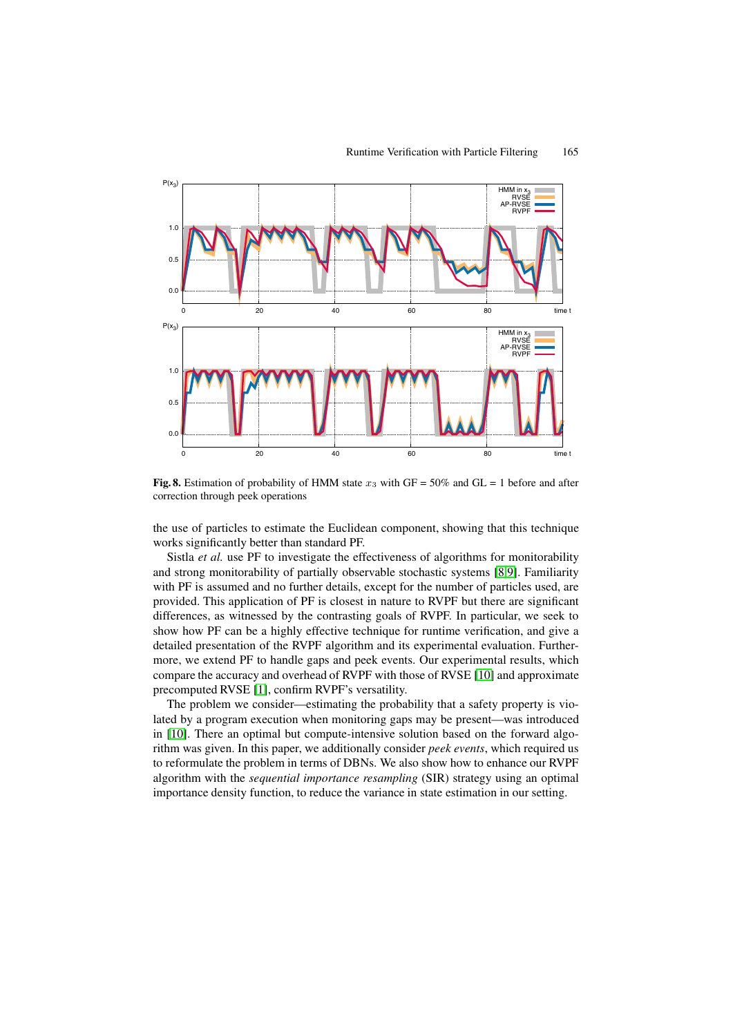

<span id="page-16-0"></span>**Fig. 8.** Estimation of probability of HMM state  $x_3$  with GF = 50% and GL = 1 before and after correction through peek operations

the use of particles to estimate the Euclidean component, showing that this technique works significantly better than standard PF.

Sistla *et al.* use PF to investigate the effectiveness of algorithms for monitorability and strong monitorability of partially observable stochastic systems [\[8,](#page-17-10)[9\]](#page-17-11). Familiarity with PF is assumed and no further details, except for the number of particles used, are provided. This application of PF is closest in nature to RVPF but there are significant differences, as witnessed by the contrasting goals of RVPF. In particular, we seek to show how PF can be a highly effective technique for runtime verification, and give a detailed presentation of the RVPF algorithm and its experimental evaluation. Furthermore, we extend PF to handle gaps and peek events. Our experimental results, which compare the accuracy and overhead of RVPF with those of RVSE [\[10\]](#page-17-2) and approximate precomputed RVSE [\[1\]](#page-17-3), confirm RVPF's versatility.

The problem we consider—estimating the probability that a safety property is violated by a program execution when monitoring gaps may be present—was introduced in [\[10\]](#page-17-2). There an optimal but compute-intensive solution based on the forward algorithm was given. In this paper, we additionally consider *peek events*, which required us to reformulate the problem in terms of DBNs. We also show how to enhance our RVPF algorithm with the *sequential importance resampling* (SIR) strategy using an optimal importance density function, to reduce the variance in state estimation in our setting.